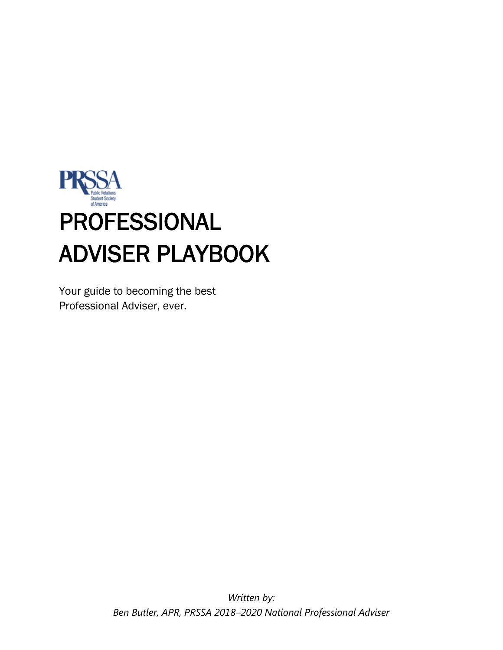

Your guide to becoming the best Professional Adviser, ever.

> *Written by: Ben Butler, APR, PRSSA 2018–2020 National Professional Adviser*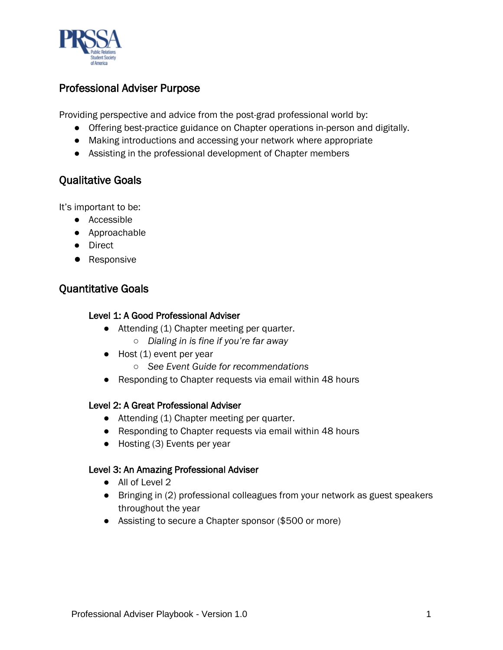

### Professional Adviser Purpose

Providing perspective and advice from the post-grad professional world by:

- Offering best-practice guidance on Chapter operations in-person and digitally.
- Making introductions and accessing your network where appropriate
- Assisting in the professional development of Chapter members

# Qualitative Goals

It's important to be:

- Accessible
- Approachable
- Direct
- Responsive

## Quantitative Goals

#### Level 1: A Good Professional Adviser

- Attending (1) Chapter meeting per quarter.
	- *Dialing in is fine if you're far away*
- Host (1) event per year
	- *See Event Guide for recommendations*
- Responding to Chapter requests via email within 48 hours

#### Level 2: A Great Professional Adviser

- Attending (1) Chapter meeting per quarter.
- Responding to Chapter requests via email within 48 hours
- Hosting (3) Events per year

#### Level 3: An Amazing Professional Adviser

- All of Level 2
- Bringing in (2) professional colleagues from your network as guest speakers throughout the year
- Assisting to secure a Chapter sponsor (\$500 or more)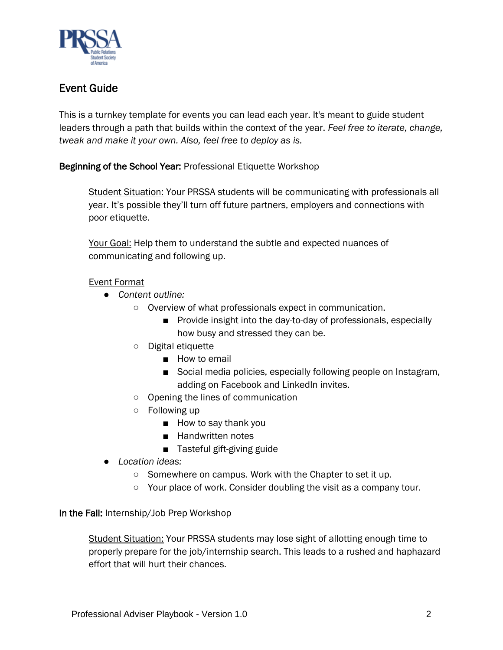

# Event Guide

This is a turnkey template for events you can lead each year. It's meant to guide student leaders through a path that builds within the context of the year. *Feel free to iterate, change, tweak and make it your own. Also, feel free to deploy as is.* 

#### Beginning of the School Year: Professional Etiquette Workshop

Student Situation: Your PRSSA students will be communicating with professionals all year. It's possible they'll turn off future partners, employers and connections with poor etiquette.

Your Goal: Help them to understand the subtle and expected nuances of communicating and following up.

#### Event Format

- *Content outline:*
	- Overview of what professionals expect in communication.
		- Provide insight into the day-to-day of professionals, especially how busy and stressed they can be.
	- Digital etiquette
		- How to email
		- Social media policies, especially following people on Instagram, adding on Facebook and LinkedIn invites.
	- Opening the lines of communication
	- Following up
		- How to say thank you
		- Handwritten notes
		- Tasteful gift-giving guide
- *Location ideas:* 
	- Somewhere on campus. Work with the Chapter to set it up.
	- Your place of work. Consider doubling the visit as a company tour.

#### In the Fall: Internship/Job Prep Workshop

Student Situation: Your PRSSA students may lose sight of allotting enough time to properly prepare for the job/internship search. This leads to a rushed and haphazard effort that will hurt their chances.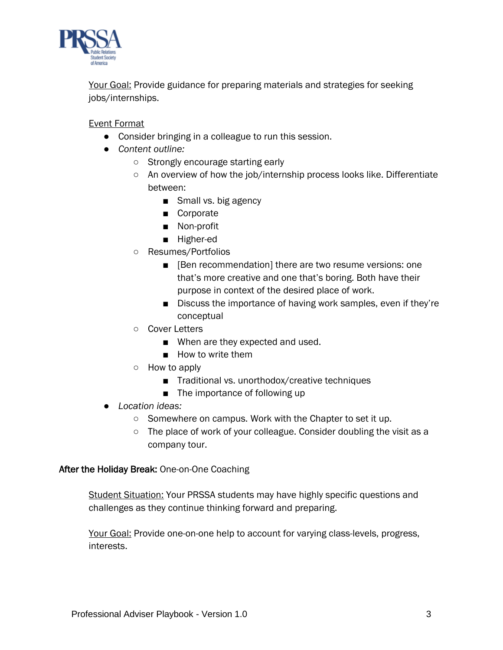

Your Goal: Provide guidance for preparing materials and strategies for seeking jobs/internships.

Event Format

- Consider bringing in a colleague to run this session.
- *Content outline:*
	- Strongly encourage starting early
	- An overview of how the job/internship process looks like. Differentiate between:
		- Small vs. big agency
		- Corporate
		- Non-profit
		- Higher-ed
	- Resumes/Portfolios
		- [Ben recommendation] there are two resume versions: one that's more creative and one that's boring. Both have their purpose in context of the desired place of work.
		- Discuss the importance of having work samples, even if they're conceptual
	- Cover Letters
		- When are they expected and used.
		- How to write them
	- How to apply
		- Traditional vs. unorthodox/creative techniques
		- The importance of following up
- *Location ideas:* 
	- Somewhere on campus. Work with the Chapter to set it up.
	- The place of work of your colleague. Consider doubling the visit as a company tour.

#### After the Holiday Break: One-on-One Coaching

Student Situation: Your PRSSA students may have highly specific questions and challenges as they continue thinking forward and preparing.

Your Goal: Provide one-on-one help to account for varying class-levels, progress, interests.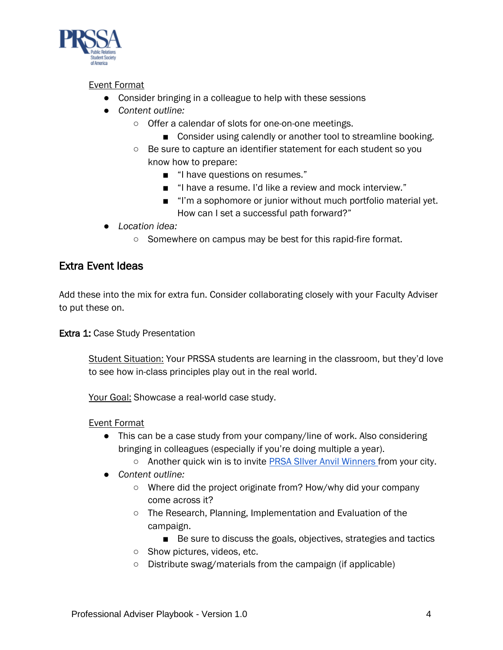

#### Event Format

- Consider bringing in a colleague to help with these sessions
- *Content outline:*
	- Offer a calendar of slots for one-on-one meetings.
		- Consider using calendly or another tool to streamline booking.
	- Be sure to capture an identifier statement for each student so you know how to prepare:
		- "I have questions on resumes."
		- "I have a resume. I'd like a review and mock interview."
		- "I'm a sophomore or junior without much portfolio material yet. How can I set a successful path forward?"
- *Location idea:* 
	- Somewhere on campus may be best for this rapid-fire format.

### Extra Event Ideas

Add these into the mix for extra fun. Consider collaborating closely with your Faculty Adviser to put these on.

**Extra 1: Case Study Presentation** 

Student Situation: Your PRSSA students are learning in the classroom, but they'd love to see how in-class principles play out in the real world.

Your Goal: Showcase a real-world case study.

#### Event Format

- This can be a case study from your company/line of work. Also considering bringing in colleagues (especially if you're doing multiple a year).
	- Another quick win is to invite PRSA SIIver Anvil Winners from your city.
- *Content outline:*
	- Where did the project originate from? How/why did your company come across it?
	- The Research, Planning, Implementation and Evaluation of the campaign.
		- Be sure to discuss the goals, objectives, strategies and tactics
	- Show pictures, videos, etc.
	- Distribute swag/materials from the campaign (if applicable)